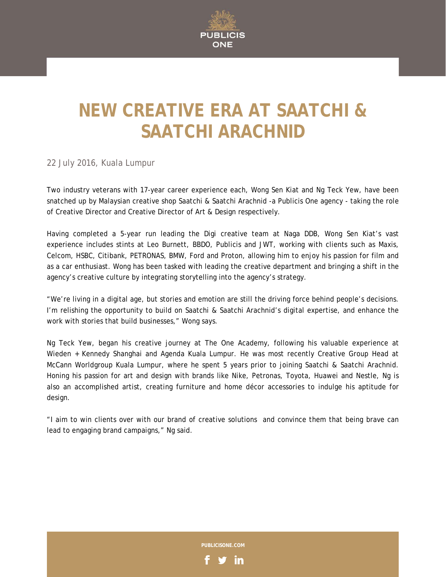

## **NEW CREATIVE ERA AT SAATCHI & SAATCHI ARACHNID**

22 July 2016, Kuala Lumpur

Two industry veterans with 17-year career experience each, Wong Sen Kiat and Ng Teck Yew, have been snatched up by Malaysian creative shop Saatchi & Saatchi Arachnid -a Publicis One agency - taking the role of Creative Director and Creative Director of Art & Design respectively.

Having completed a 5-year run leading the Digi creative team at Naga DDB, Wong Sen Kiat's vast experience includes stints at Leo Burnett, BBDO, Publicis and JWT, working with clients such as Maxis, Celcom, HSBC, Citibank, PETRONAS, BMW, Ford and Proton, allowing him to enjoy his passion for film and as a car enthusiast. Wong has been tasked with leading the creative department and bringing a shift in the agency's creative culture by integrating storytelling into the agency's strategy.

"We're living in a digital age, but stories and emotion are still the driving force behind people's decisions. I'm relishing the opportunity to build on Saatchi & Saatchi Arachnid's digital expertise, and enhance the work with stories that build businesses," Wong says.

Ng Teck Yew, began his creative journey at The One Academy, following his valuable experience at Wieden + Kennedy Shanghai and Agenda Kuala Lumpur. He was most recently Creative Group Head at McCann Worldgroup Kuala Lumpur, where he spent 5 years prior to joining Saatchi & Saatchi Arachnid. Honing his passion for art and design with brands like Nike, Petronas, Toyota, Huawei and Nestle, Ng is also an accomplished artist, creating furniture and home décor accessories to indulge his aptitude for design.

"I aim to win clients over with our brand of creative solutions and convince them that being brave can lead to engaging brand campaigns," Ng said.

**PUBLICISONE.COM**